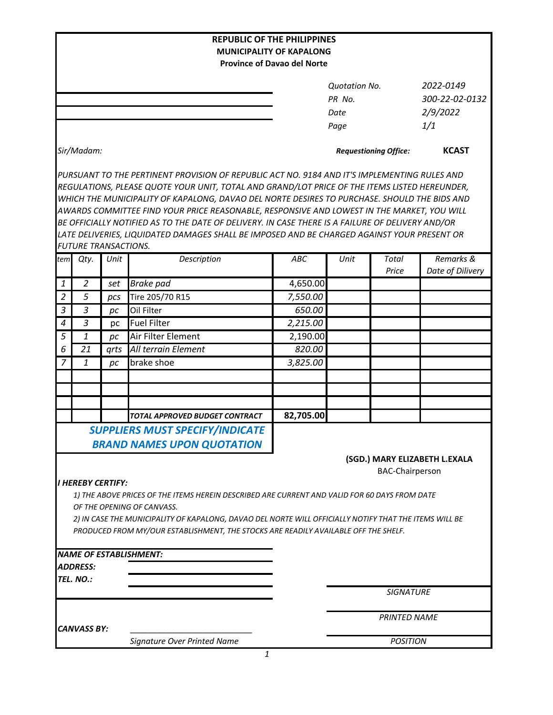| <b>REPUBLIC OF THE PHILIPPINES</b><br><b>MUNICIPALITY OF KAPALONG</b><br><b>Province of Davao del Norte</b> |                             |      |                                                                                                                                                                                                                                                                                                                                                                                                                                                                                                                                                                                                |                    |                                                |                        |                                                |
|-------------------------------------------------------------------------------------------------------------|-----------------------------|------|------------------------------------------------------------------------------------------------------------------------------------------------------------------------------------------------------------------------------------------------------------------------------------------------------------------------------------------------------------------------------------------------------------------------------------------------------------------------------------------------------------------------------------------------------------------------------------------------|--------------------|------------------------------------------------|------------------------|------------------------------------------------|
|                                                                                                             |                             |      |                                                                                                                                                                                                                                                                                                                                                                                                                                                                                                                                                                                                |                    | <b>Quotation No.</b><br>PR No.<br>Date<br>Page |                        | 2022-0149<br>300-22-02-0132<br>2/9/2022<br>1/1 |
|                                                                                                             | Sir/Madam:                  |      |                                                                                                                                                                                                                                                                                                                                                                                                                                                                                                                                                                                                |                    | <b>Requestioning Office:</b>                   |                        | <b>KCAST</b>                                   |
|                                                                                                             | <b>FUTURE TRANSACTIONS.</b> |      | PURSUANT TO THE PERTINENT PROVISION OF REPUBLIC ACT NO. 9184 AND IT'S IMPLEMENTING RULES AND<br>REGULATIONS, PLEASE QUOTE YOUR UNIT, TOTAL AND GRAND/LOT PRICE OF THE ITEMS LISTED HEREUNDER,<br>WHICH THE MUNICIPALITY OF KAPALONG, DAVAO DEL NORTE DESIRES TO PURCHASE. SHOULD THE BIDS AND<br>AWARDS COMMITTEE FIND YOUR PRICE REASONABLE, RESPONSIVE AND LOWEST IN THE MARKET, YOU WILL<br>BE OFFICIALLY NOTIFIED AS TO THE DATE OF DELIVERY. IN CASE THERE IS A FAILURE OF DELIVERY AND/OR<br>LATE DELIVERIES, LIQUIDATED DAMAGES SHALL BE IMPOSED AND BE CHARGED AGAINST YOUR PRESENT OR |                    |                                                |                        |                                                |
| tem                                                                                                         | Qty.                        | Unit | Description                                                                                                                                                                                                                                                                                                                                                                                                                                                                                                                                                                                    | ABC                | Unit                                           | Total                  | Remarks &                                      |
|                                                                                                             |                             |      |                                                                                                                                                                                                                                                                                                                                                                                                                                                                                                                                                                                                |                    |                                                | Price                  | Date of Dilivery                               |
| 1<br>$\overline{2}$                                                                                         | 2<br>5                      | set  | <b>Brake</b> pad                                                                                                                                                                                                                                                                                                                                                                                                                                                                                                                                                                               | 4,650.00           |                                                |                        |                                                |
| $\mathfrak{Z}$                                                                                              | $\overline{3}$              | pcs  | Tire 205/70 R15<br>Oil Filter                                                                                                                                                                                                                                                                                                                                                                                                                                                                                                                                                                  | 7,550.00<br>650.00 |                                                |                        |                                                |
| $\boldsymbol{4}$                                                                                            | 3                           | pc   | <b>Fuel Filter</b>                                                                                                                                                                                                                                                                                                                                                                                                                                                                                                                                                                             | 2,215.00           |                                                |                        |                                                |
| $\overline{5}$                                                                                              | 1                           | pc   | Air Filter Element                                                                                                                                                                                                                                                                                                                                                                                                                                                                                                                                                                             | 2,190.00           |                                                |                        |                                                |
| 6                                                                                                           | 21                          | pc   | All terrain Element                                                                                                                                                                                                                                                                                                                                                                                                                                                                                                                                                                            | 820.00             |                                                |                        |                                                |
| $\overline{7}$                                                                                              | $\mathbf{1}$                | grts | brake shoe                                                                                                                                                                                                                                                                                                                                                                                                                                                                                                                                                                                     | 3,825.00           |                                                |                        |                                                |
|                                                                                                             |                             | pc   |                                                                                                                                                                                                                                                                                                                                                                                                                                                                                                                                                                                                |                    |                                                |                        |                                                |
|                                                                                                             |                             |      |                                                                                                                                                                                                                                                                                                                                                                                                                                                                                                                                                                                                |                    |                                                |                        |                                                |
|                                                                                                             |                             |      |                                                                                                                                                                                                                                                                                                                                                                                                                                                                                                                                                                                                |                    |                                                |                        |                                                |
|                                                                                                             |                             |      | TOTAL APPROVED BUDGET CONTRACT                                                                                                                                                                                                                                                                                                                                                                                                                                                                                                                                                                 | 82,705.00          |                                                |                        |                                                |
|                                                                                                             |                             |      |                                                                                                                                                                                                                                                                                                                                                                                                                                                                                                                                                                                                |                    |                                                |                        |                                                |
|                                                                                                             |                             |      | <b>SUPPLIERS MUST SPECIFY/INDICATE</b><br><b>BRAND NAMES UPON QUOTATION</b>                                                                                                                                                                                                                                                                                                                                                                                                                                                                                                                    |                    |                                                |                        |                                                |
|                                                                                                             | <b>I HEREBY CERTIFY:</b>    |      | 1) THE ABOVE PRICES OF THE ITEMS HEREIN DESCRIBED ARE CURRENT AND VALID FOR 60 DAYS FROM DATE<br>OF THE OPENING OF CANVASS.<br>2) IN CASE THE MUNICIPALITY OF KAPALONG, DAVAO DEL NORTE WILL OFFICIALLY NOTIFY THAT THE ITEMS WILL BE<br>PRODUCED FROM MY/OUR ESTABLISHMENT, THE STOCKS ARE READILY AVAILABLE OFF THE SHELF.                                                                                                                                                                                                                                                                   |                    |                                                | <b>BAC-Chairperson</b> | (SGD.) MARY ELIZABETH L.EXALA                  |
|                                                                                                             |                             |      | <b>NAME OF ESTABLISHMENT:</b>                                                                                                                                                                                                                                                                                                                                                                                                                                                                                                                                                                  |                    |                                                |                        |                                                |
|                                                                                                             | <b>ADDRESS:</b>             |      |                                                                                                                                                                                                                                                                                                                                                                                                                                                                                                                                                                                                |                    |                                                |                        |                                                |
|                                                                                                             | TEL. NO.:                   |      |                                                                                                                                                                                                                                                                                                                                                                                                                                                                                                                                                                                                |                    |                                                |                        |                                                |
|                                                                                                             |                             |      |                                                                                                                                                                                                                                                                                                                                                                                                                                                                                                                                                                                                |                    |                                                | <b>SIGNATURE</b>       |                                                |
| CANVASS BY:                                                                                                 |                             |      |                                                                                                                                                                                                                                                                                                                                                                                                                                                                                                                                                                                                |                    | <b>PRINTED NAME</b>                            |                        |                                                |
|                                                                                                             |                             |      | Signature Over Printed Name                                                                                                                                                                                                                                                                                                                                                                                                                                                                                                                                                                    |                    |                                                | <b>POSITION</b>        |                                                |
|                                                                                                             |                             |      | $\mathbf{1}$                                                                                                                                                                                                                                                                                                                                                                                                                                                                                                                                                                                   |                    |                                                |                        |                                                |